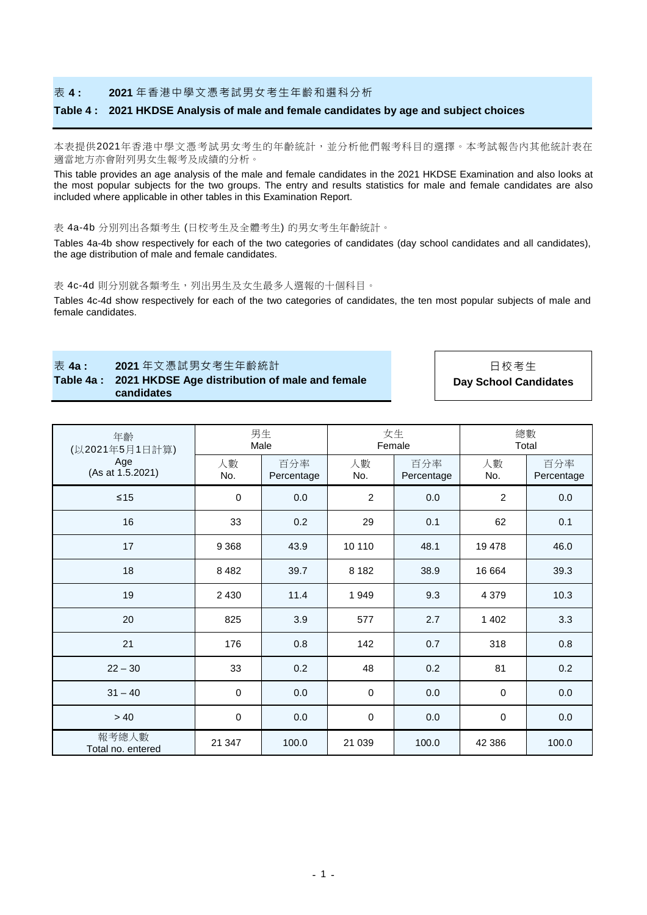### 表 **4 : 2021** 年香港中學文憑考試男女考生年齡和選科分析

#### **Table 4 : 2021 HKDSE Analysis of male and female candidates by age and subject choices**

本表提供2021年香港中學文憑考試男女考生的年齡統計,並分析他們報考科目的選擇。本考試報告內其他統計表在 適當地方亦會附列男女生報考及成績的分析。

This table provides an age analysis of the male and female candidates in the 2021 HKDSE Examination and also looks at the most popular subjects for the two groups. The entry and results statistics for male and female candidates are also included where applicable in other tables in this Examination Report.

#### 表 4a-4b 分別列出各類考生 (日校考生及全體考生) 的男女考生年齡統計。

Tables 4a-4b show respectively for each of the two categories of candidates (day school candidates and all candidates), the age distribution of male and female candidates.

#### 表 4c-4d 則分別就各類考生,列出男生及女生最多人選報的十個科目。

Tables 4c-4d show respectively for each of the two categories of candidates, the ten most popular subjects of male and female candidates.

### 表 **4a : 2021** 年文憑試男女考生年齡統計 日校考生 **Table 4a : 2021 HKDSE Age distribution of male and female candidates**

年齡 (以2021年5月1日計算) Age (As at 1.5.2021)

男生 Male 女生 Female 總數 Total 人數 No. 百分率 Percentage 人數 No. 百分率 Percentage 人數 No. 百分率 Percentage

**Day School Candidates**

| $\leq 15$                  | $\mathbf 0$ | 0.0   | $\boldsymbol{2}$ | 0.0   | $\sqrt{2}$ | 0.0   |
|----------------------------|-------------|-------|------------------|-------|------------|-------|
| 16                         | 33          | 0.2   | 29               | 0.1   | 62         | 0.1   |
| 17                         | 9 3 6 8     | 43.9  | 10 110           | 48.1  | 19 478     | 46.0  |
| 18                         | 8 4 8 2     | 39.7  | 8 1 8 2          | 38.9  | 16 664     | 39.3  |
| 19                         | 2 4 3 0     | 11.4  | 1949             | 9.3   | 4 3 7 9    | 10.3  |
| 20                         | 825         | 3.9   | 577              | 2.7   | 1 4 0 2    | 3.3   |
| 21                         | 176         | 0.8   | 142              | 0.7   | 318        | 0.8   |
| $22 - 30$                  | 33          | 0.2   | 48               | 0.2   | 81         | 0.2   |
| $31 - 40$                  | $\mathbf 0$ | 0.0   | $\mathbf 0$      | 0.0   | $\pmb{0}$  | 0.0   |
| > 40                       | $\mathbf 0$ | 0.0   | $\mathbf 0$      | 0.0   | $\pmb{0}$  | 0.0   |
| 報考總人數<br>Total no. entered | 21 347      | 100.0 | 21 039           | 100.0 | 42 386     | 100.0 |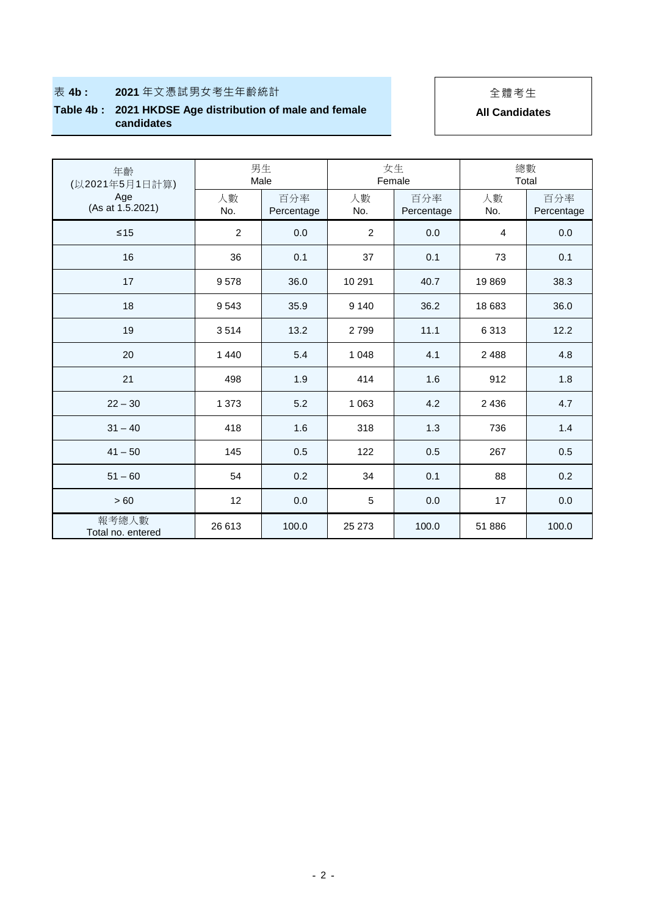# ● 表 4b **: 2021** 年文憑試男女考生年齡統計 インストン インストリック 全體考生

## **Table 4b : 2021 HKDSE Age distribution of male and female candidates**

**All Candidates**

| 年齡<br>(以2021年5月1日計算)       | 男生<br>Male     |                   | 女生<br>Female   |                   | 總數<br>Total |                   |
|----------------------------|----------------|-------------------|----------------|-------------------|-------------|-------------------|
| Age<br>(As at 1.5.2021)    | 人數<br>No.      | 百分率<br>Percentage | 人數<br>No.      | 百分率<br>Percentage | 人數<br>No.   | 百分率<br>Percentage |
| $\leq 15$                  | $\overline{2}$ | 0.0               | $\overline{2}$ | 0.0               | 4           | 0.0               |
| 16                         | 36             | 0.1               | 37             | 0.1               | 73          | 0.1               |
| 17                         | 9578           | 36.0              | 10 291         | 40.7              | 19869       | 38.3              |
| 18                         | 9 5 4 3        | 35.9              | 9 1 4 0        | 36.2              | 18 683      | 36.0              |
| 19                         | 3514           | 13.2              | 2799           | 11.1              | 6 3 1 3     | 12.2              |
| 20                         | 1 4 4 0        | 5.4               | 1 0 4 8        | 4.1               | 2 4 8 8     | 4.8               |
| 21                         | 498            | 1.9               | 414            | 1.6               | 912         | 1.8               |
| $22 - 30$                  | 1 3 7 3        | 5.2               | 1 0 6 3        | 4.2               | 2 4 3 6     | 4.7               |
| $31 - 40$                  | 418            | 1.6               | 318            | 1.3               | 736         | 1.4               |
| $41 - 50$                  | 145            | 0.5               | 122            | 0.5               | 267         | 0.5               |
| $51 - 60$                  | 54             | 0.2               | 34             | 0.1               | 88          | 0.2               |
| >60                        | 12             | 0.0               | 5              | 0.0               | 17          | 0.0               |
| 報考總人數<br>Total no. entered | 26 613         | 100.0             | 25 273         | 100.0             | 51 886      | 100.0             |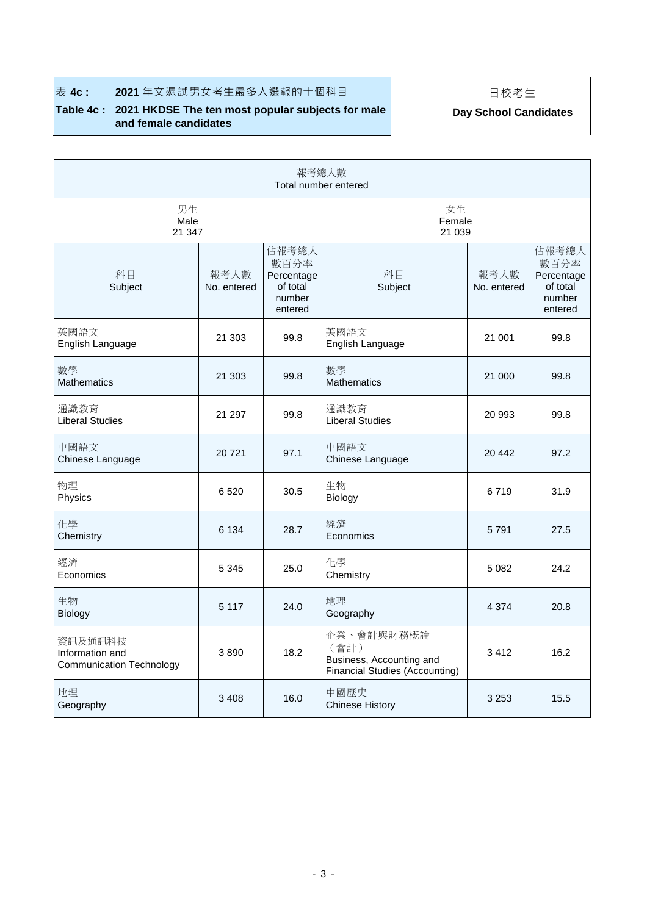# **表 4c : 2021** 年文憑試男女考生最多人選報的十個科目 日 | 日校考生

## **Table 4c : 2021 HKDSE The ten most popular subjects for male and female candidates**

**Day School Candidates**

| 報考總人數<br>Total number entered                                 |                     |                                                              |                                                                                  |                     |                                                              |  |
|---------------------------------------------------------------|---------------------|--------------------------------------------------------------|----------------------------------------------------------------------------------|---------------------|--------------------------------------------------------------|--|
| 男生<br>Male<br>21 347                                          |                     |                                                              | 女生<br>Female<br>21 0 39                                                          |                     |                                                              |  |
| 科目<br>Subject                                                 | 報考人數<br>No. entered | 佔報考總人<br>數百分率<br>Percentage<br>of total<br>number<br>entered | 科目<br>Subject                                                                    | 報考人數<br>No. entered | 佔報考總人<br>數百分率<br>Percentage<br>of total<br>number<br>entered |  |
| 英國語文<br>English Language                                      | 21 303              | 99.8                                                         | 英國語文<br>English Language                                                         | 21 001              | 99.8                                                         |  |
| 數學<br><b>Mathematics</b>                                      | 21 303              | 99.8                                                         | 數學<br><b>Mathematics</b>                                                         | 21 000              | 99.8                                                         |  |
| 通識教育<br><b>Liberal Studies</b>                                | 21 297              | 99.8                                                         | 通識教育<br><b>Liberal Studies</b>                                                   | 20 993              | 99.8                                                         |  |
| 中國語文<br>Chinese Language                                      | 20721               | 97.1                                                         | 中國語文<br>Chinese Language                                                         | 20 442              | 97.2                                                         |  |
| 物理<br>Physics                                                 | 6520                | 30.5                                                         | 生物<br>Biology                                                                    | 6719                | 31.9                                                         |  |
| 化學<br>Chemistry                                               | 6 1 3 4             | 28.7                                                         | 經濟<br>Economics                                                                  | 5791                | 27.5                                                         |  |
| 經濟<br>Economics                                               | 5 3 4 5             | 25.0                                                         | 化學<br>Chemistry                                                                  | 5 0 8 2             | 24.2                                                         |  |
| 生物<br>Biology                                                 | 5 1 1 7             | 24.0                                                         | 地理<br>Geography                                                                  | 4 3 7 4             | 20.8                                                         |  |
| 資訊及通訊科技<br>Information and<br><b>Communication Technology</b> | 3890                | 18.2                                                         | 企業、會計與財務概論<br>(會計)<br>Business, Accounting and<br>Financial Studies (Accounting) | 3412                | 16.2                                                         |  |
| 地理<br>Geography                                               | 3 4 0 8             | 16.0                                                         | 中國歷史<br><b>Chinese History</b>                                                   | 3 2 5 3             | 15.5                                                         |  |